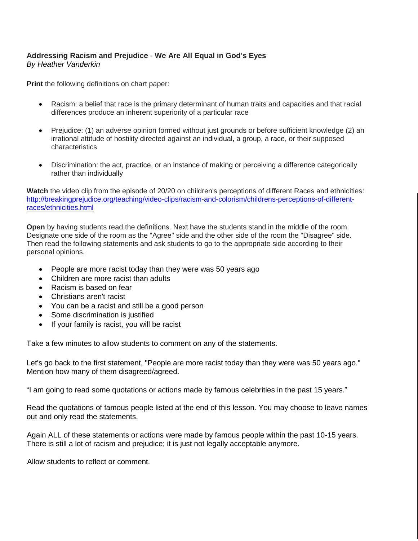## **Addressing Racism and Prejudice** - **We Are All Equal in God's Eyes** *By Heather Vanderkin*

**Print** the following definitions on chart paper:

- Racism: a belief that race is the primary determinant of human traits and capacities and that racial differences produce an inherent superiority of a particular race
- Prejudice: (1) an adverse opinion formed without just grounds or before sufficient knowledge (2) an irrational attitude of hostility directed against an individual, a group, a race, or their supposed characteristics
- Discrimination: the act, practice, or an instance of making or perceiving a difference categorically rather than individually

**Watch** the video clip from the episode of 20/20 on children's perceptions of different Races and ethnicities: [http://breakingprejudice.org/teaching/video-clips/racism-and-colorism/childrens-perceptions-of-different](http://breakingprejudice.org/teaching/video-clips/racism-and-colorism/childrens-perceptions-of-different-races/ethnicities.html)[races/ethnicities.html](http://breakingprejudice.org/teaching/video-clips/racism-and-colorism/childrens-perceptions-of-different-races/ethnicities.html)

**Open** by having students read the definitions. Next have the students stand in the middle of the room. Designate one side of the room as the "Agree" side and the other side of the room the "Disagree" side. Then read the following statements and ask students to go to the appropriate side according to their personal opinions.

- People are more racist today than they were was 50 years ago
- Children are more racist than adults
- Racism is based on fear
- Christians aren't racist
- You can be a racist and still be a good person
- Some discrimination is justified
- If your family is racist, you will be racist

Take a few minutes to allow students to comment on any of the statements.

Let's go back to the first statement, "People are more racist today than they were was 50 years ago." Mention how many of them disagreed/agreed.

"I am going to read some quotations or actions made by famous celebrities in the past 15 years."

Read the quotations of famous people listed at the end of this lesson. You may choose to leave names out and only read the statements.

Again ALL of these statements or actions were made by famous people within the past 10-15 years. There is still a lot of racism and prejudice; it is just not legally acceptable anymore.

Allow students to reflect or comment.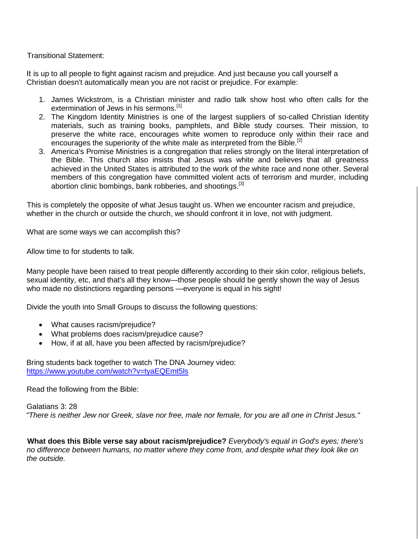Transitional Statement:

It is up to all people to fight against racism and prejudice. And just because you call yourself a Christian doesn't automatically mean you are not racist or prejudice. For example:

- 1. James Wickstrom, is a Christian minister and radio talk show host who often calls for the extermination of Jews in his sermons.<sup>[1]</sup>
- 2. The Kingdom Identity Ministries is one of the largest suppliers of so-called Christian Identity materials, such as training books, pamphlets, and Bible study courses. Their mission, to preserve the white race, encourages white women to reproduce only within their race and encourages the superiority of the white male as interpreted from the Bible.<sup>[2]</sup>
- 3. America's Promise Ministries is a congregation that relies strongly on the literal interpretation of the Bible. This church also insists that Jesus was white and believes that all greatness achieved in the United States is attributed to the work of the white race and none other. Several members of this congregation have committed violent acts of terrorism and murder, including abortion clinic bombings, bank robberies, and shootings.<sup>[3]</sup>

This is completely the opposite of what Jesus taught us. When we encounter racism and prejudice, whether in the church or outside the church, we should confront it in love, not with judgment.

What are some ways we can accomplish this?

Allow time to for students to talk.

Many people have been raised to treat people differently according to their skin color, religious beliefs, sexual identity, etc, and that's all they know—those people should be gently shown the way of Jesus who made no distinctions regarding persons —everyone is equal in his sight!

Divide the youth into Small Groups to discuss the following questions:

- What causes racism/prejudice?
- What problems does racism/prejudice cause?
- How, if at all, have you been affected by racism/prejudice?

Bring students back together to watch The DNA Journey video: <https://www.youtube.com/watch?v=tyaEQEmt5ls>

Read the following from the Bible:

Galatians 3: 28 *"There is neither Jew nor Greek, slave nor free, male nor female, for you are all one in Christ Jesus."*

**What does this Bible verse say about racism/prejudice?** *Everybody's equal in God's eyes; there's no difference between humans, no matter where they come from, and despite what they look like on the outside.*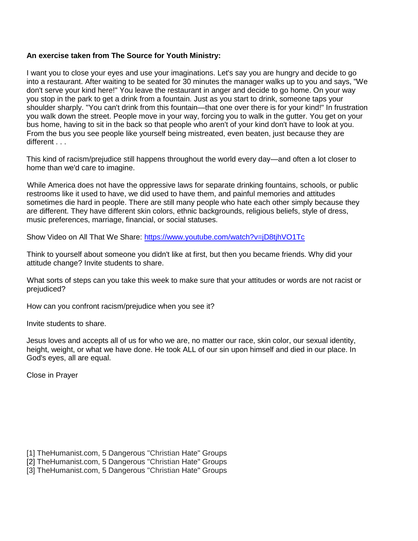## **An exercise taken from The Source for Youth Ministry:**

I want you to close your eyes and use your imaginations. Let's say you are hungry and decide to go into a restaurant. After waiting to be seated for 30 minutes the manager walks up to you and says, "We don't serve your kind here!" You leave the restaurant in anger and decide to go home. On your way you stop in the park to get a drink from a fountain. Just as you start to drink, someone taps your shoulder sharply. "You can't drink from this fountain—that one over there is for your kind!" In frustration you walk down the street. People move in your way, forcing you to walk in the gutter. You get on your bus home, having to sit in the back so that people who aren't of your kind don't have to look at you. From the bus you see people like yourself being mistreated, even beaten, just because they are different . . .

This kind of racism/prejudice still happens throughout the world every day—and often a lot closer to home than we'd care to imagine.

While America does not have the oppressive laws for separate drinking fountains, schools, or public restrooms like it used to have, we did used to have them, and painful memories and attitudes sometimes die hard in people. There are still many people who hate each other simply because they are different. They have different skin colors, ethnic backgrounds, religious beliefs, style of dress, music preferences, marriage, financial, or social statuses.

Show Video on All That We Share:<https://www.youtube.com/watch?v=jD8tjhVO1Tc>

Think to yourself about someone you didn't like at first, but then you became friends. Why did your attitude change? Invite students to share.

What sorts of steps can you take this week to make sure that your attitudes or words are not racist or prejudiced?

How can you confront racism/prejudice when you see it?

Invite students to share.

Jesus loves and accepts all of us for who we are, no matter our race, skin color, our sexual identity, height, weight, or what we have done. He took ALL of our sin upon himself and died in our place. In God's eyes, all are equal.

Close in Prayer

[1] TheHumanist.com, 5 Dangerous "Christian Hate" Groups

[2] TheHumanist.com, 5 Dangerous "Christian Hate" Groups

[3] TheHumanist.com, 5 Dangerous "Christian Hate" Groups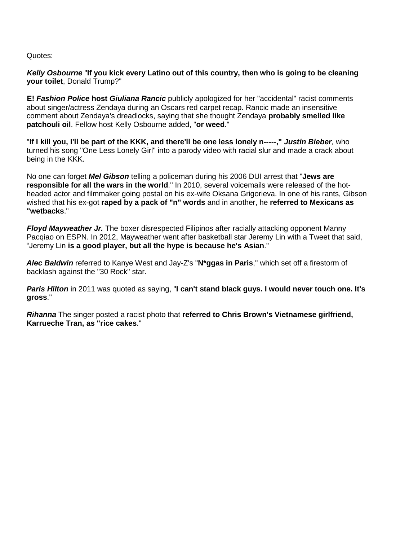Quotes:

*Kelly Osbourne* "**If you kick every Latino out of this country, then who is going to be cleaning your toilet**, Donald Trump?"

**E!** *Fashion Police* **host** *Giuliana Rancic* publicly apologized for her "accidental" racist comments about singer/actress Zendaya during an Oscars red carpet recap. Rancic made an insensitive comment about Zendaya's dreadlocks, saying that she thought Zendaya **probably smelled like patchouli oil**. Fellow host Kelly Osbourne added, "**or weed**."

"**If I kill you, I'll be part of the KKK, and there'll be one less lonely n-----,"** *Justin Bieber,* who turned his song "One Less Lonely Girl" into a parody video with racial slur and made a crack about being in the KKK.

No one can forget *Mel Gibson* telling a policeman during his 2006 DUI arrest that "**Jews are responsible for all the wars in the world**." In 2010, several voicemails were released of the hotheaded actor and filmmaker going postal on his ex-wife Oksana Grigorieva. In one of his rants, Gibson wished that his ex-got **raped by a pack of "n" words** and in another, he **referred to Mexicans as "wetbacks**."

*Floyd Mayweather Jr.* The boxer disrespected Filipinos after racially attacking opponent Manny Pacqiao on ESPN. In 2012, Mayweather went after basketball star Jeremy Lin with a Tweet that said, "Jeremy Lin **is a good player, but all the hype is because he's Asian**."

*Alec Baldwin* referred to Kanye West and Jay-Z's "**N\*ggas in Paris**," which set off a firestorm of backlash against the "30 Rock" star.

*Paris Hilton* in 2011 was quoted as saying, "**I can't stand black guys. I would never touch one. It's gross**."

*Rihanna* The singer posted a racist photo that **referred to Chris Brown's Vietnamese girlfriend, Karrueche Tran, as "rice cakes**."